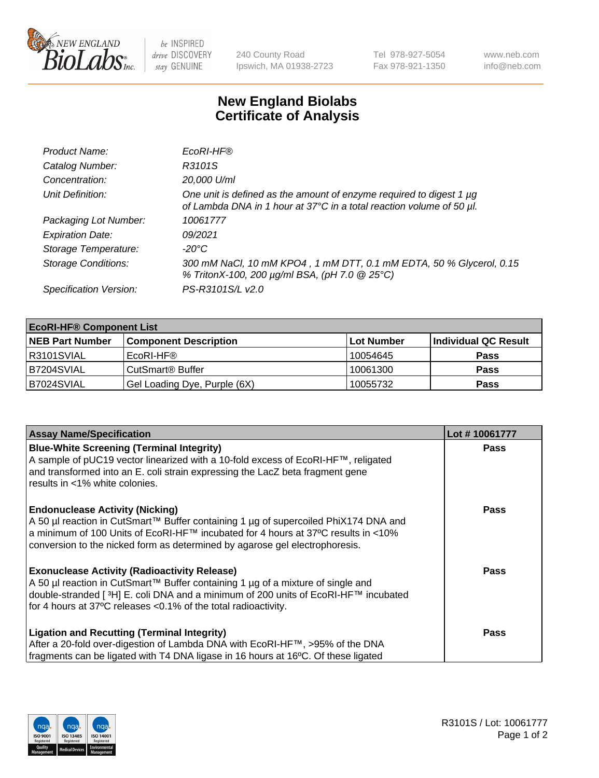

be INSPIRED drive DISCOVERY stay GENUINE

240 County Road Ipswich, MA 01938-2723 Tel 978-927-5054 Fax 978-921-1350 www.neb.com info@neb.com

## **New England Biolabs Certificate of Analysis**

| Product Name:              | EcoRI-HF®                                                                                                                                   |
|----------------------------|---------------------------------------------------------------------------------------------------------------------------------------------|
| Catalog Number:            | R3101S                                                                                                                                      |
| Concentration:             | 20,000 U/ml                                                                                                                                 |
| Unit Definition:           | One unit is defined as the amount of enzyme required to digest 1 µg<br>of Lambda DNA in 1 hour at 37°C in a total reaction volume of 50 µl. |
| Packaging Lot Number:      | 10061777                                                                                                                                    |
| <b>Expiration Date:</b>    | 09/2021                                                                                                                                     |
| Storage Temperature:       | -20°C                                                                                                                                       |
| <b>Storage Conditions:</b> | 300 mM NaCl, 10 mM KPO4, 1 mM DTT, 0.1 mM EDTA, 50 % Glycerol, 0.15<br>% TritonX-100, 200 µg/ml BSA, (pH 7.0 @ 25°C)                        |
| Specification Version:     | PS-R3101S/L v2.0                                                                                                                            |

| <b>EcoRI-HF® Component List</b> |                              |            |                      |  |  |
|---------------------------------|------------------------------|------------|----------------------|--|--|
| <b>NEB Part Number</b>          | <b>Component Description</b> | Lot Number | Individual QC Result |  |  |
| R3101SVIAL                      | EcoRI-HF®                    | 10054645   | <b>Pass</b>          |  |  |
| IB7204SVIAL                     | CutSmart <sup>®</sup> Buffer | 10061300   | <b>Pass</b>          |  |  |
| B7024SVIAL                      | Gel Loading Dye, Purple (6X) | 10055732   | <b>Pass</b>          |  |  |

| <b>Assay Name/Specification</b>                                                                                                                                           | Lot #10061777 |
|---------------------------------------------------------------------------------------------------------------------------------------------------------------------------|---------------|
| <b>Blue-White Screening (Terminal Integrity)</b>                                                                                                                          | <b>Pass</b>   |
| A sample of pUC19 vector linearized with a 10-fold excess of EcoRI-HF™, religated<br>and transformed into an E. coli strain expressing the LacZ beta fragment gene        |               |
| results in <1% white colonies.                                                                                                                                            |               |
| <b>Endonuclease Activity (Nicking)</b>                                                                                                                                    | Pass          |
| A 50 µl reaction in CutSmart™ Buffer containing 1 µg of supercoiled PhiX174 DNA and<br> a minimum of 100 Units of EcoRI-HF™ incubated for 4 hours at 37°C results in <10% |               |
| conversion to the nicked form as determined by agarose gel electrophoresis.                                                                                               |               |
| <b>Exonuclease Activity (Radioactivity Release)</b>                                                                                                                       | Pass          |
| A 50 µl reaction in CutSmart™ Buffer containing 1 µg of a mixture of single and                                                                                           |               |
| double-stranded [ <sup>3</sup> H] E. coli DNA and a minimum of 200 units of EcoRI-HF™ incubated<br>for 4 hours at 37°C releases < 0.1% of the total radioactivity.        |               |
|                                                                                                                                                                           |               |
| <b>Ligation and Recutting (Terminal Integrity)</b>                                                                                                                        | <b>Pass</b>   |
| After a 20-fold over-digestion of Lambda DNA with EcoRI-HF™, >95% of the DNA                                                                                              |               |
| fragments can be ligated with T4 DNA ligase in 16 hours at 16°C. Of these ligated                                                                                         |               |